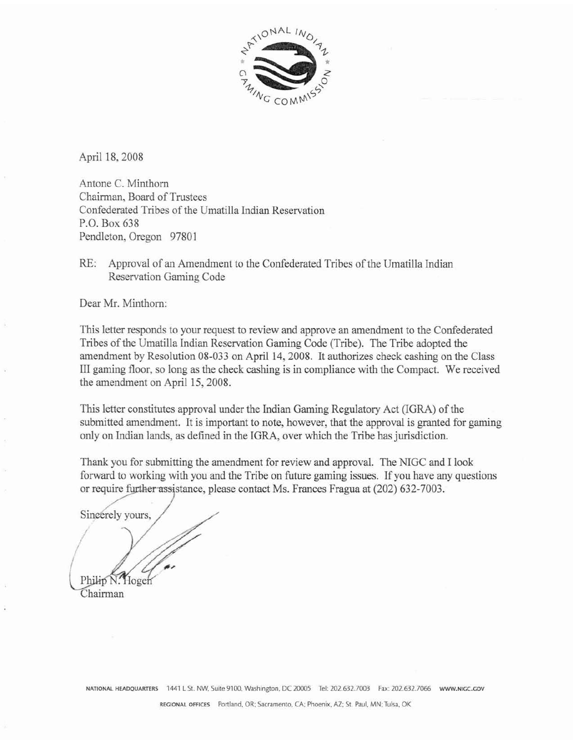

**April** 18,2008

Antone C. Minthorn Chairman, Board of Trustees Confederated Tribes of the Urnatilla Indian Reservation P.O. Box 638 Pendleton, Oregon 97801

RE: Approval of an Amendment to the Confederated Tribes of the Umatilla Indian Reservation Gaming Code

Dear Mr. Minthorn:

This letter responds to your request to review and approve an amendment to the Confederated Tribes of the Umatilla Indian Reservation Gaming Code (Tribe]. The Tribe adopted the amendment by Resolution 08-033 on April 14,2008. It authorizes check cashing on the CIass III gaming floor, so long as the check cashing is in compliance with the Compact. We received the amendment on April 15, 2008.

This letter constitutes approval under the Indian Gaming Regulatory Act (IGRA) of the submitted amendment. It is important to note, however, that the approval is granted for gaming **only** on Indian lands, **as** defined in the IGRA, over which the Tribe has jurisdiction.

Thank you **for** submitting the amendment for **review** and approval. The NJGC and I look forward to working with **you** and the Tribe on future gaming issues. If you have **any** questions or require further assistance, please contact Ms. Frances Fragua at  $(202)$  632-7003.

Sincerely yours,

Toger Chairman

 $N$  ATIONAL HEADQUARTERS 1441 L St. NW, Suite 9100, Washington, DC 20005 Tel: 202.632.7003 Fax: 202.632.7066 www.NIGC.GOV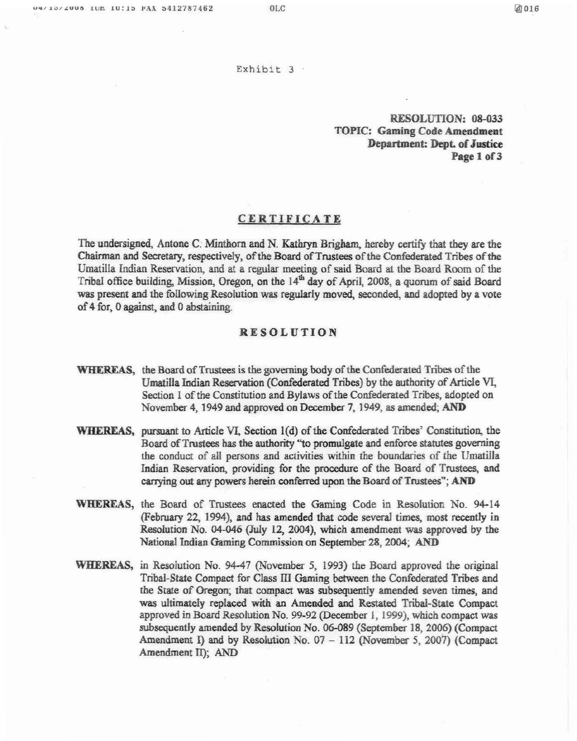#### **Exhibit** 3

### SOLUTION: **08-033 TOPIC: Gaming Code Amendment Department: Dept. of Jestice Page 1 of 3**

### **CERTIFICATE**

**The undersigned, Antone C. Minthorn md N.** Kathryn **Brigham, hereby certify** that **they are the Chairman and Secretary, respectively, of the Board of Trustees of the Confederated Tribes of the**  Umatilla Indian Reservation, and at a regular meeting of said Board at the Board Room of the Tribal office **building, Mission, Oregon, on the 14' day of April, 2008, a quorum of** said **Board was present and the following ResoIution** was **regularly moved, secoadd, and adopted by a vote of 4** for, **0** *against,* **and** 0 **abstaining.** 

### **RESOLUTION**

- **WHEREAS,** the Board of Trustees is the governing body of the Confederated Tribes of the Umatilla Indian Reservation (Confederated Tribes) by the authority of Article VI, Section 1 of the Constitution and Bylaws of the Confederated Tribes, adopted on **November 4,1949 and approved on December 7,1949, as** amended, **AND**
- WHEREAS, **pummt to Article VX, Section I(d) ofthe Confedmted Tnis' Constitdon, the**  Board of Trustees has the authority "to promulgate and enforce statutes governing **the conduct** of all **petsons** and **activities within** the **boundaries of the Umatilla Indian** Resewation, **providing for** *the* **procedure of the Board of Trustees, and cmying out** *my* **powers herein conferred upon the Board of Trustees"; AND**
- **WHEREAS, the** Board **of Trustees enacted the Gaming Code in** Resolution No, **94-34 (February** *25* **f 994), and has amended that cude several times, most recently in**  Resolution No. 04-046 (July 12, 2004), which amendment was approved by the **National Indian Gaming Commission on September 28, 2004; AND**
- **WEEREAS, in Resolution No. 94-47** (November **5, 1993) the Board approved the original Tribal-State Compact for Class Ill Gaming between the Confederated Tribes and the** *State* **of Oregon;** that **compact was subsequently amended** seven **times, and was ultimateIy replaced with an Amended and Restated Tribd-State Compact approved in Board Resolution No. 99-92 (December I, 1999, which compact was subsequently amended by Resolution No. 06-089 (September 18, 2006) (Compact Amendment** I) **and by Resolution No, 07** - **<sup>112</sup>(November 5, 2007) (Compact Amendment** II); **AND**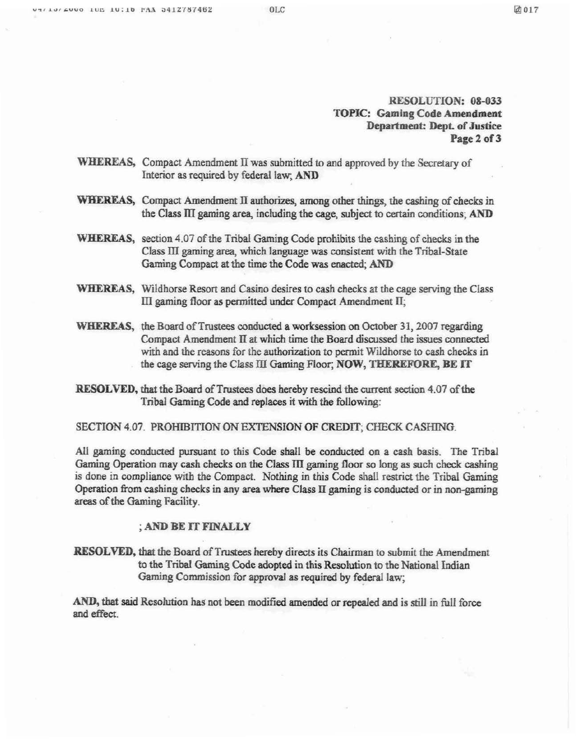# **RESOLUTION: 08-033 TOPIC: Gaming Code Amendment Department: Dept of Justice Page 2 of 3**

- **WEEREAS, Compact Amendment II** was **submitted to and approved by** the Secretary **of Interior as required by** federal **law, AND**
- **WEEREAS, Compact Amendment II authorizeg amang other things, the cashing of checks in the Class JII gaming area, including the cage, subject to certain conditions; AND**
- **WHEREAS,** section 4.07 of the Tribal Gaming Code prohibits the cashing of checks in the **Class III gaming area, which language was consistent with the Tribal-State Gaming Compact at the time the Code** was **enacted; AND**
- **WEEREAS, Wildhorse** Resort **and Casino desires to cash checks at the cage serving the Class Di gaming ffoor as permitted** under **Compact Amendment JI;**
- **WHERIEAS, the Board of Trustees conducted a worksession on October 3 1,2007 regarding Compact Amendment II at which time** the **Board discussd the issues connected with and the reasons for the authorization** to **permit Wildhorse to cash checks in the cage serving the Class III Gaming Floor; NOW, THEREFORE, BE IT**
- **RESOLVED, that the Board of Trustees does hereby rescind the current section 4.07 of the Tribal Gaming Code and replaces it with the following:**

**SECTION 4.07. PROHIBITION ON EXTENSION OF CREDIT; CHECK CASHING.** 

All gaming conducted pursuant to this Code shall be conducted on a cash basis. The Tribal **Gaming Operation may cash checks on the Class TIl gaming floor so long as such check cashing is done in** compliance with **the Compact. Nothing in this Code** shall **restrict the Tribal Gaming Operation from cashing checks in any area where Class TI gaming is conducted** or **in non-gaming areas ofthe Gaming Facility.** 

# ; AND BE IT FINALLY

**RESOLVED,** that the **Board of Tmsrees hereby directs its Chairman to submit the Amendment to** *the* **Tribal Gaming Code adopted in this Resobion to the National Indian**  Gaming Commission for approval as required by federal law;

*AND,* **that mid Resolution has** not **been modified mended or repealed aad is stiIZ in fulI** force **and effect.**